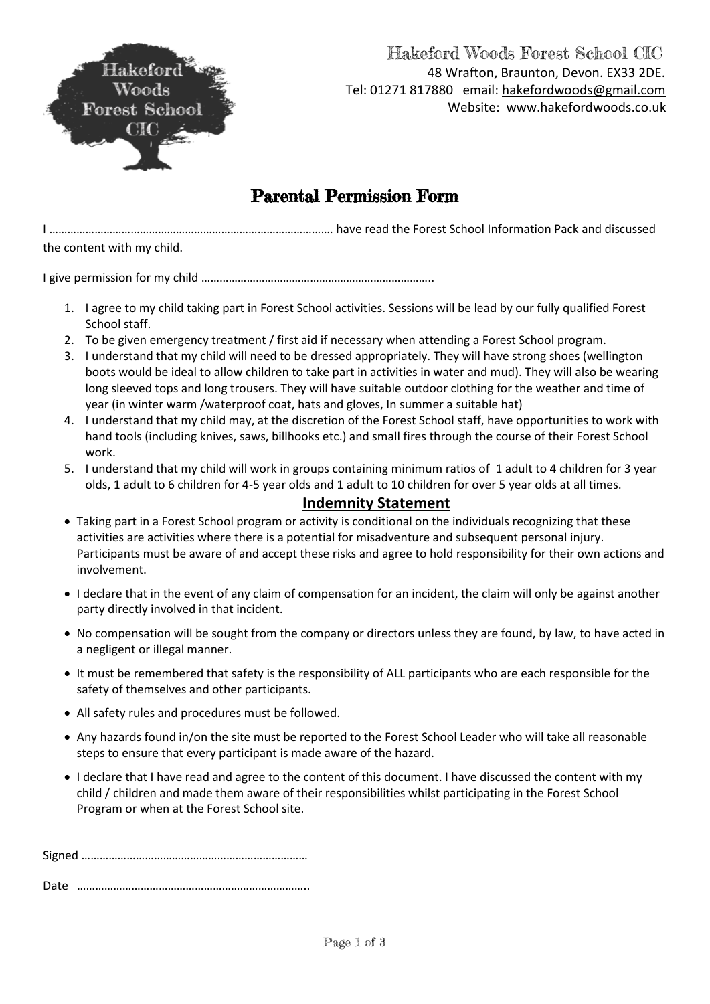

### Hakeford Woods Forest School CIC 48 Wrafton, Braunton, Devon. EX33 2DE. Tel: 01271 817880 email: [hakefordwoods@gmail.com](mailto:hakefordwoods@gmail.com) Website: [www.hakefordwoods.co.uk](http://www.hakefordwoods.co.uk/)

# Parental Permission Form

I …………………………………………………………………………………. have read the Forest School Information Pack and discussed the content with my child.

I give permission for my child …………………………………………………………………..

- 1. I agree to my child taking part in Forest School activities. Sessions will be lead by our fully qualified Forest School staff.
- 2. To be given emergency treatment / first aid if necessary when attending a Forest School program.
- 3. I understand that my child will need to be dressed appropriately. They will have strong shoes (wellington boots would be ideal to allow children to take part in activities in water and mud). They will also be wearing long sleeved tops and long trousers. They will have suitable outdoor clothing for the weather and time of year (in winter warm /waterproof coat, hats and gloves, In summer a suitable hat)
- 4. I understand that my child may, at the discretion of the Forest School staff, have opportunities to work with hand tools (including knives, saws, billhooks etc.) and small fires through the course of their Forest School work.
- 5. I understand that my child will work in groups containing minimum ratios of 1 adult to 4 children for 3 year olds, 1 adult to 6 children for 4-5 year olds and 1 adult to 10 children for over 5 year olds at all times.

#### **Indemnity Statement**

- Taking part in a Forest School program or activity is conditional on the individuals recognizing that these activities are activities where there is a potential for misadventure and subsequent personal injury. Participants must be aware of and accept these risks and agree to hold responsibility for their own actions and involvement.
- I declare that in the event of any claim of compensation for an incident, the claim will only be against another party directly involved in that incident.
- No compensation will be sought from the company or directors unless they are found, by law, to have acted in a negligent or illegal manner.
- It must be remembered that safety is the responsibility of ALL participants who are each responsible for the safety of themselves and other participants.
- All safety rules and procedures must be followed.
- Any hazards found in/on the site must be reported to the Forest School Leader who will take all reasonable steps to ensure that every participant is made aware of the hazard.
- I declare that I have read and agree to the content of this document. I have discussed the content with my child / children and made them aware of their responsibilities whilst participating in the Forest School Program or when at the Forest School site.

Signed ………………………………………………………………… Date …………………………………………………………………..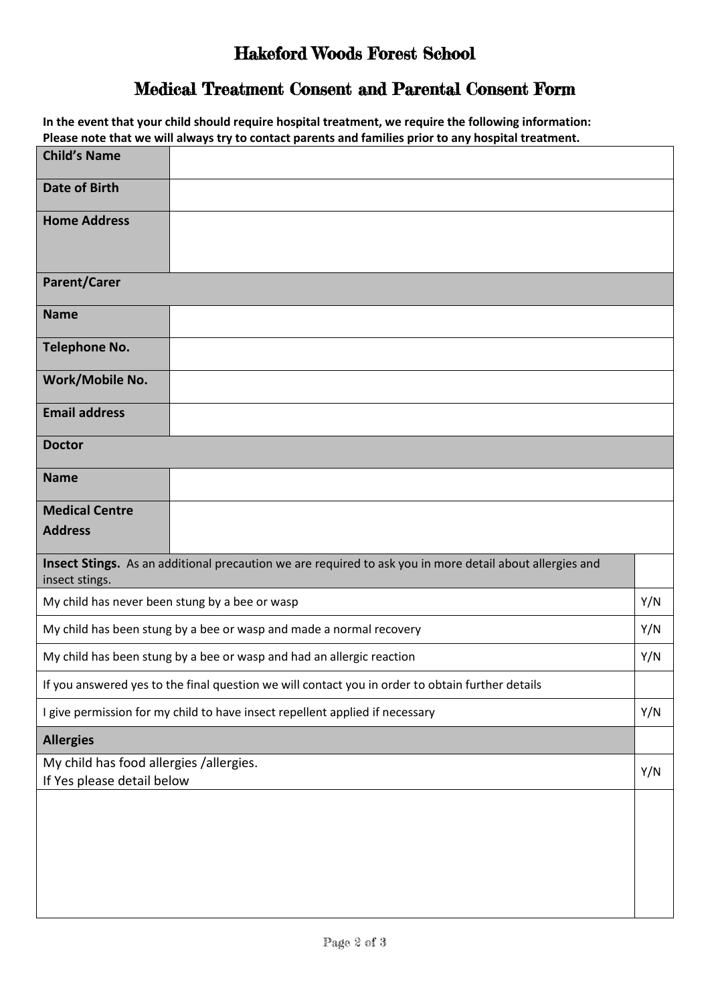## Hakeford Woods Forest School

## Medical Treatment Consent and Parental Consent Form

**In the event that your child should require hospital treatment, we require the following information: Please note that we will always try to contact parents and families prior to any hospital treatment.**

| <b>Child's Name</b>                                                                              |                                                                                                          |  |
|--------------------------------------------------------------------------------------------------|----------------------------------------------------------------------------------------------------------|--|
| <b>Date of Birth</b>                                                                             |                                                                                                          |  |
| <b>Home Address</b>                                                                              |                                                                                                          |  |
| <b>Parent/Carer</b>                                                                              |                                                                                                          |  |
| <b>Name</b>                                                                                      |                                                                                                          |  |
| <b>Telephone No.</b>                                                                             |                                                                                                          |  |
| Work/Mobile No.                                                                                  |                                                                                                          |  |
| <b>Email address</b>                                                                             |                                                                                                          |  |
| <b>Doctor</b>                                                                                    |                                                                                                          |  |
| <b>Name</b>                                                                                      |                                                                                                          |  |
| <b>Medical Centre</b>                                                                            |                                                                                                          |  |
| <b>Address</b>                                                                                   |                                                                                                          |  |
| insect stings.                                                                                   | Insect Stings. As an additional precaution we are required to ask you in more detail about allergies and |  |
| My child has never been stung by a bee or wasp                                                   |                                                                                                          |  |
| My child has been stung by a bee or wasp and made a normal recovery                              |                                                                                                          |  |
| My child has been stung by a bee or wasp and had an allergic reaction                            |                                                                                                          |  |
| If you answered yes to the final question we will contact you in order to obtain further details |                                                                                                          |  |
| I give permission for my child to have insect repellent applied if necessary                     |                                                                                                          |  |
| <b>Allergies</b>                                                                                 |                                                                                                          |  |
| My child has food allergies /allergies.<br>If Yes please detail below                            |                                                                                                          |  |
|                                                                                                  |                                                                                                          |  |
|                                                                                                  |                                                                                                          |  |
|                                                                                                  |                                                                                                          |  |
|                                                                                                  |                                                                                                          |  |
|                                                                                                  |                                                                                                          |  |